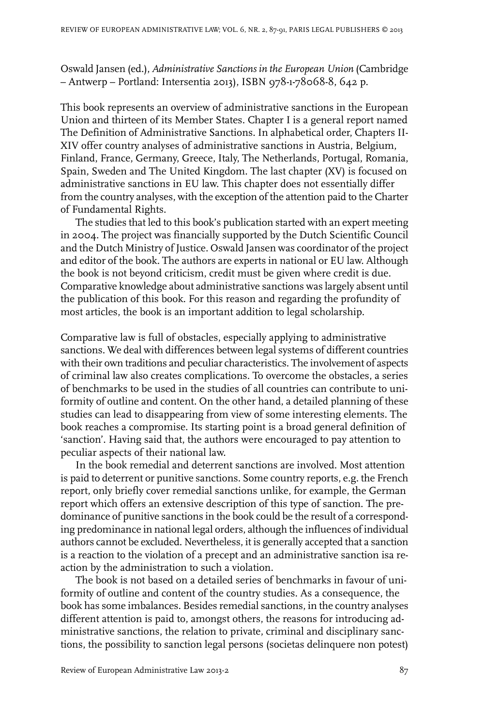Oswald Jansen (ed.), *Administrative Sanctions in the European Union* (Cambridge – Antwerp – Portland: Intersentia 2013), ISBN 978-1-78068-8, 642 p.

This book represents an overview of administrative sanctions in the European Union and thirteen of its Member States. Chapter I is a general report named The Definition of Administrative Sanctions. In alphabetical order, Chapters II-XIV offer country analyses of administrative sanctions in Austria, Belgium, Finland, France, Germany, Greece, Italy, The Netherlands, Portugal, Romania, Spain, Sweden and The United Kingdom. The last chapter (XV) is focused on administrative sanctions in EU law. This chapter does not essentially differ from the country analyses, with the exception of the attention paid to the Charter of Fundamental Rights.

The studies that led to this book's publication started with an expert meeting in 2004. The project was financially supported by the Dutch Scientific Council and the Dutch Ministry of Justice. Oswald Jansen was coordinator of the project and editor of the book. The authors are experts in national or EU law. Although the book is not beyond criticism, credit must be given where credit is due. Comparative knowledge about administrative sanctions was largely absent until the publication of this book. For this reason and regarding the profundity of most articles, the book is an important addition to legal scholarship.

Comparative law is full of obstacles, especially applying to administrative sanctions. We deal with differences between legal systems of different countries with their own traditions and peculiar characteristics. The involvement of aspects of criminal law also creates complications. To overcome the obstacles, a series of benchmarks to be used in the studies of all countries can contribute to uniformity of outline and content. On the other hand, a detailed planning of these studies can lead to disappearing from view of some interesting elements. The book reaches a compromise. Its starting point is a broad general definition of 'sanction'. Having said that, the authors were encouraged to pay attention to peculiar aspects of their national law.

In the book remedial and deterrent sanctions are involved. Most attention is paid to deterrent or punitive sanctions. Some country reports, e.g. the French report, only briefly cover remedial sanctions unlike, for example, the German report which offers an extensive description of this type of sanction. The predominance of punitive sanctions in the book could be the result of a corresponding predominance in national legal orders, although the influences of individual authors cannot be excluded. Nevertheless, it is generally accepted that a sanction is a reaction to the violation of a precept and an administrative sanction isa reaction by the administration to such a violation.

The book is not based on a detailed series of benchmarks in favour of uniformity of outline and content of the country studies. As a consequence, the book has some imbalances. Besides remedial sanctions, in the country analyses different attention is paid to, amongst others, the reasons for introducing administrative sanctions, the relation to private, criminal and disciplinary sanctions, the possibility to sanction legal persons (societas delinquere non potest)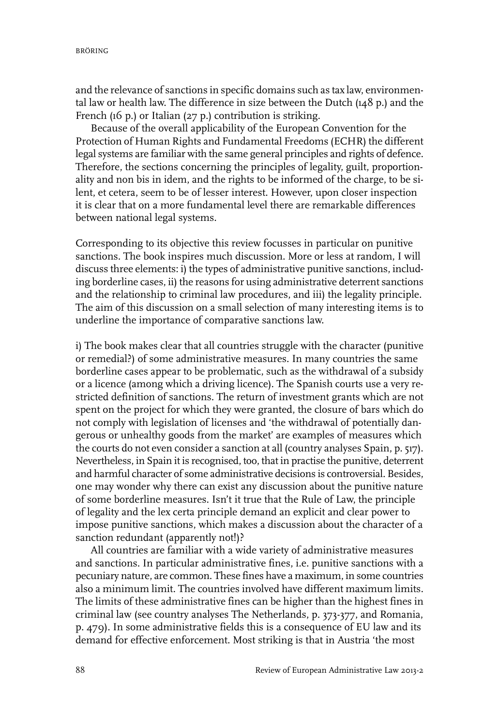and the relevance of sanctions in specific domains such as tax law, environmental law or health law. The difference in size between the Dutch (148 p.) and the French (16 p.) or Italian (27 p.) contribution is striking.

Because of the overall applicability of the European Convention for the Protection of Human Rights and Fundamental Freedoms (ECHR) the different legal systems are familiar with the same general principles and rights of defence. Therefore, the sections concerning the principles of legality, guilt, proportionality and non bis in idem, and the rights to be informed of the charge, to be silent, et cetera, seem to be of lesser interest. However, upon closer inspection it is clear that on a more fundamental level there are remarkable differences between national legal systems.

Corresponding to its objective this review focusses in particular on punitive sanctions. The book inspires much discussion. More or less at random, I will discuss three elements: i) the types of administrative punitive sanctions, including borderline cases, ii) the reasons for using administrative deterrent sanctions and the relationship to criminal law procedures, and iii) the legality principle. The aim of this discussion on a small selection of many interesting items is to underline the importance of comparative sanctions law.

i) The book makes clear that all countries struggle with the character (punitive or remedial?) of some administrative measures. In many countries the same borderline cases appear to be problematic, such as the withdrawal of a subsidy or a licence (among which a driving licence). The Spanish courts use a very restricted definition of sanctions. The return of investment grants which are not spent on the project for which they were granted, the closure of bars which do not comply with legislation of licenses and 'the withdrawal of potentially dangerous or unhealthy goods from the market' are examples of measures which the courts do not even consider a sanction at all (country analyses Spain, p. 517). Nevertheless, in Spain it is recognised, too, that in practise the punitive, deterrent and harmful character of some administrative decisions is controversial. Besides, one may wonder why there can exist any discussion about the punitive nature of some borderline measures. Isn't it true that the Rule of Law, the principle of legality and the lex certa principle demand an explicit and clear power to impose punitive sanctions, which makes a discussion about the character of a sanction redundant (apparently not!)?

All countries are familiar with a wide variety of administrative measures and sanctions. In particular administrative fines, i.e. punitive sanctions with a pecuniary nature, are common. These fines have a maximum, in some countries also a minimum limit. The countries involved have different maximum limits. The limits of these administrative fines can be higher than the highest fines in criminal law (see country analyses The Netherlands, p. 373-377, and Romania, p. 479). In some administrative fields this is a consequence of EU law and its demand for effective enforcement. Most striking is that in Austria 'the most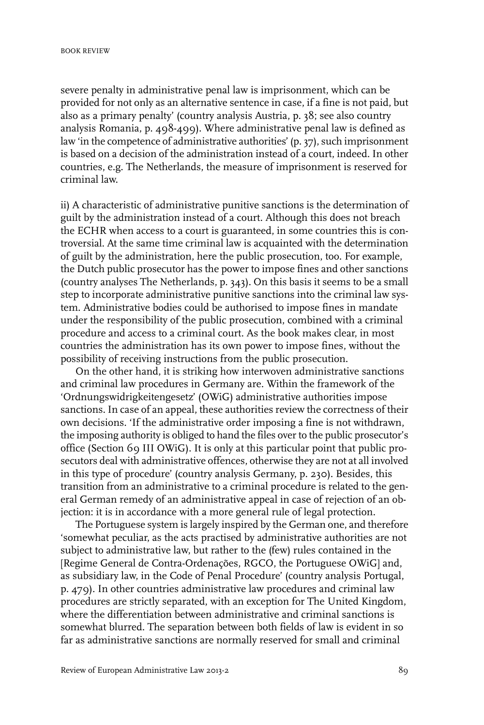severe penalty in administrative penal law is imprisonment, which can be provided for not only as an alternative sentence in case, if a fine is not paid, but also as a primary penalty' (country analysis Austria, p. 38; see also country analysis Romania, p. 498-499). Where administrative penal law is defined as law 'in the competence of administrative authorities' (p. 37), such imprisonment is based on a decision of the administration instead of a court, indeed. In other countries, e.g. The Netherlands, the measure of imprisonment is reserved for criminal law.

ii) A characteristic of administrative punitive sanctions is the determination of guilt by the administration instead of a court. Although this does not breach the ECHR when access to a court is guaranteed, in some countries this is controversial. At the same time criminal law is acquainted with the determination of guilt by the administration, here the public prosecution, too. For example, the Dutch public prosecutor has the power to impose fines and other sanctions (country analyses The Netherlands, p. 343). On this basis it seems to be a small step to incorporate administrative punitive sanctions into the criminal law system. Administrative bodies could be authorised to impose fines in mandate under the responsibility of the public prosecution, combined with a criminal procedure and access to a criminal court. As the book makes clear, in most countries the administration has its own power to impose fines, without the possibility of receiving instructions from the public prosecution.

On the other hand, it is striking how interwoven administrative sanctions and criminal law procedures in Germany are. Within the framework of the 'Ordnungswidrigkeitengesetz' (OWiG) administrative authorities impose sanctions. In case of an appeal, these authorities review the correctness of their own decisions. 'If the administrative order imposing a fine is not withdrawn, the imposing authority is obliged to hand the files over to the public prosecutor's office (Section 69 III OWiG). It is only at this particular point that public prosecutors deal with administrative offences, otherwise they are not at all involved in this type of procedure' (country analysis Germany, p. 230). Besides, this transition from an administrative to a criminal procedure is related to the general German remedy of an administrative appeal in case of rejection of an objection: it is in accordance with a more general rule of legal protection.

The Portuguese system is largely inspired by the German one, and therefore 'somewhat peculiar, as the acts practised by administrative authorities are not subject to administrative law, but rather to the (few) rules contained in the [Regime General de Contra-Ordenações, RGCO, the Portuguese OWiG] and, as subsidiary law, in the Code of Penal Procedure' (country analysis Portugal, p. 479). In other countries administrative law procedures and criminal law procedures are strictly separated, with an exception for The United Kingdom, where the differentiation between administrative and criminal sanctions is somewhat blurred. The separation between both fields of law is evident in so far as administrative sanctions are normally reserved for small and criminal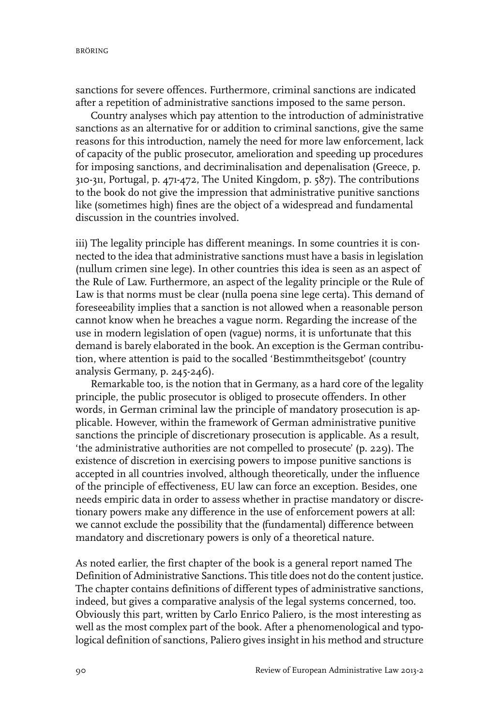BRÖRING

sanctions for severe offences. Furthermore, criminal sanctions are indicated after a repetition of administrative sanctions imposed to the same person.

Country analyses which pay attention to the introduction of administrative sanctions as an alternative for or addition to criminal sanctions, give the same reasons for this introduction, namely the need for more law enforcement, lack of capacity of the public prosecutor, amelioration and speeding up procedures for imposing sanctions, and decriminalisation and depenalisation (Greece, p. 310-311, Portugal, p. 471-472, The United Kingdom, p. 587). The contributions to the book do not give the impression that administrative punitive sanctions like (sometimes high) fines are the object of a widespread and fundamental discussion in the countries involved.

iii) The legality principle has different meanings. In some countries it is connected to the idea that administrative sanctions must have a basis in legislation (nullum crimen sine lege). In other countries this idea is seen as an aspect of the Rule of Law. Furthermore, an aspect of the legality principle or the Rule of Law is that norms must be clear (nulla poena sine lege certa). This demand of foreseeability implies that a sanction is not allowed when a reasonable person cannot know when he breaches a vague norm. Regarding the increase of the use in modern legislation of open (vague) norms, it is unfortunate that this demand is barely elaborated in the book. An exception is the German contribution, where attention is paid to the socalled 'Bestimmtheitsgebot' (country analysis Germany, p. 245-246).

Remarkable too, is the notion that in Germany, as a hard core of the legality principle, the public prosecutor is obliged to prosecute offenders. In other words, in German criminal law the principle of mandatory prosecution is applicable. However, within the framework of German administrative punitive sanctions the principle of discretionary prosecution is applicable. As a result, 'the administrative authorities are not compelled to prosecute' (p. 229). The existence of discretion in exercising powers to impose punitive sanctions is accepted in all countries involved, although theoretically, under the influence of the principle of effectiveness, EU law can force an exception. Besides, one needs empiric data in order to assess whether in practise mandatory or discretionary powers make any difference in the use of enforcement powers at all: we cannot exclude the possibility that the (fundamental) difference between mandatory and discretionary powers is only of a theoretical nature.

As noted earlier, the first chapter of the book is a general report named The Definition of Administrative Sanctions. This title does not do the content justice. The chapter contains definitions of different types of administrative sanctions, indeed, but gives a comparative analysis of the legal systems concerned, too. Obviously this part, written by Carlo Enrico Paliero, is the most interesting as well as the most complex part of the book. After a phenomenological and typological definition of sanctions, Paliero gives insight in his method and structure